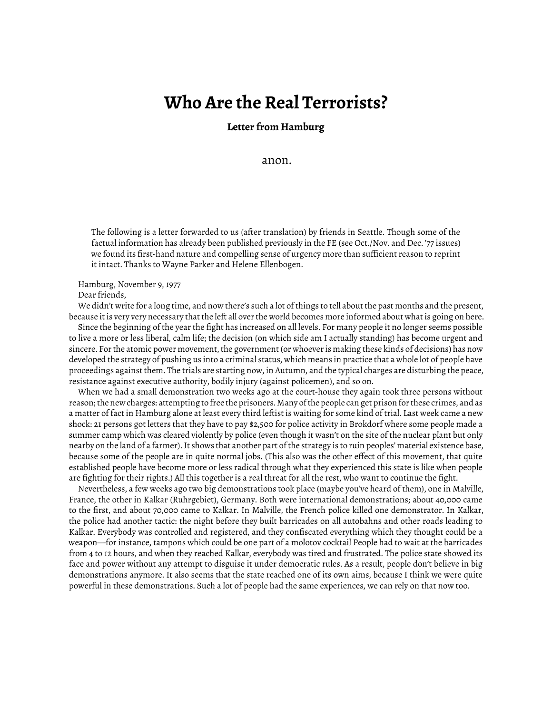## **Who Are the Real Terrorists?**

## **Letter from Hamburg**

anon.

The following is a letter forwarded to us (after translation) by friends in Seattle. Though some of the factual information has already been published previously in the FE (see Oct./Nov. and Dec. '77 issues) we found its first-hand nature and compelling sense of urgency more than sufficient reason to reprint it intact. Thanks to Wayne Parker and Helene Ellenbogen.

Hamburg, November 9, 1977 Dear friends,

We didn't write for a long time, and now there's such a lot of things to tell about the past months and the present, because it is very very necessary that the left all over the world becomes more informed about what is going on here.

Since the beginning of the year the fight has increased on all levels. For many people it no longer seems possible to live a more or less liberal, calm life; the decision (on which side am I actually standing) has become urgent and sincere. For the atomic power movement, the government (or whoever is making these kinds of decisions) has now developed the strategy of pushing us into a criminal status, which means in practice that a whole lot of people have proceedings against them. The trials are starting now, in Autumn, and the typical charges are disturbing the peace, resistance against executive authority, bodily injury (against policemen), and so on.

When we had a small demonstration two weeks ago at the court-house they again took three persons without reason; the new charges: attempting to free the prisoners. Many of the people can get prison for these crimes, and as a matter of fact in Hamburg alone at least every third leftist is waiting for some kind of trial. Last week came a new shock: 21 persons got letters that they have to pay \$2,500 for police activity in Brokdorf where some people made a summer camp which was cleared violently by police (even though it wasn't on the site of the nuclear plant but only nearby on the land of a farmer). It shows that another part of the strategy is to ruin peoples' material existence base, because some of the people are in quite normal jobs. (This also was the other effect of this movement, that quite established people have become more or less radical through what they experienced this state is like when people are fighting for their rights.) All this together is a real threat for all the rest, who want to continue the fight.

Nevertheless, a few weeks ago two big demonstrations took place (maybe you've heard of them), one in Malville, France, the other in Kalkar (Ruhrgebiet), Germany. Both were international demonstrations; about 40,000 came to the first, and about 70,000 came to Kalkar. In Malville, the French police killed one demonstrator. In Kalkar, the police had another tactic: the night before they built barricades on all autobahns and other roads leading to Kalkar. Everybody was controlled and registered, and they confiscated everything which they thought could be a weapon—for instance, tampons which could be one part of a molotov cocktail People had to wait at the barricades from 4 to 12 hours, and when they reached Kalkar, everybody was tired and frustrated. The police state showed its face and power without any attempt to disguise it under democratic rules. As a result, people don't believe in big demonstrations anymore. It also seems that the state reached one of its own aims, because I think we were quite powerful in these demonstrations. Such a lot of people had the same experiences, we can rely on that now too.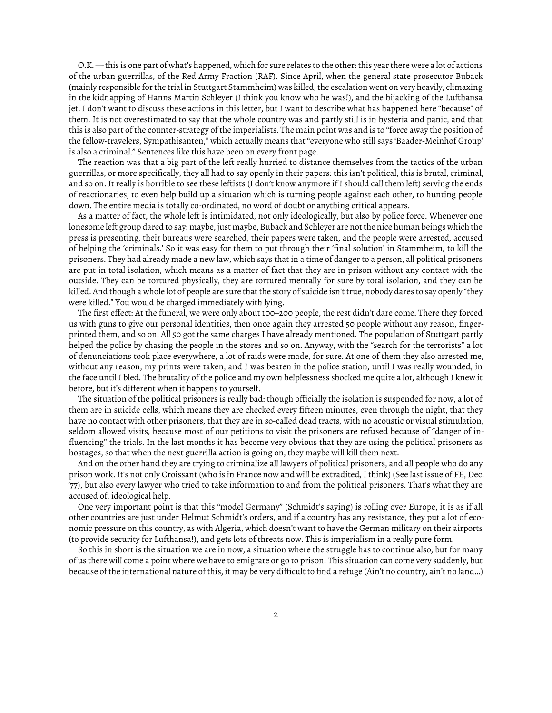O.K. — this is one part of what's happened, which for sure relates to the other: this year there were a lot of actions of the urban guerrillas, of the Red Army Fraction (RAF). Since April, when the general state prosecutor Buback (mainly responsible for the trial in Stuttgart Stammheim) was killed, the escalation went on very heavily, climaxing in the kidnapping of Hanns Martin Schleyer (I think you know who he was!), and the hijacking of the Lufthansa jet. I don't want to discuss these actions in this letter, but I want to describe what has happened here "because" of them. It is not overestimated to say that the whole country was and partly still is in hysteria and panic, and that this is also part of the counter-strategy of the imperialists. The main point was and is to "force away the position of the fellow-travelers, Sympathisanten," which actually means that "everyone who still says 'Baader-Meinhof Group' is also a criminal." Sentences like this have been on every front page.

The reaction was that a big part of the left really hurried to distance themselves from the tactics of the urban guerrillas, or more specifically, they all had to say openly in their papers: this isn't political, this is brutal, criminal, and so on. It really is horrible to see these leftists (I don't know anymore if I should call them left) serving the ends of reactionaries, to even help build up a situation which is turning people against each other, to hunting people down. The entire media is totally co-ordinated, no word of doubt or anything critical appears.

As a matter of fact, the whole left is intimidated, not only ideologically, but also by police force. Whenever one lonesome left group dared to say: maybe, just maybe, Buback and Schleyer are not the nice human beings which the press is presenting, their bureaus were searched, their papers were taken, and the people were arrested, accused of helping the 'criminals.' So it was easy for them to put through their 'final solution' in Stammheim, to kill the prisoners. They had already made a new law, which says that in a time of danger to a person, all political prisoners are put in total isolation, which means as a matter of fact that they are in prison without any contact with the outside. They can be tortured physically, they are tortured mentally for sure by total isolation, and they can be killed. And though a whole lot of people are sure that the story of suicide isn't true, nobody dares to say openly "they were killed." You would be charged immediately with lying.

The first effect: At the funeral, we were only about 100–200 people, the rest didn't dare come. There they forced us with guns to give our personal identities, then once again they arrested 50 people without any reason, fingerprinted them, and so on. All 50 got the same charges I have already mentioned. The population of Stuttgart partly helped the police by chasing the people in the stores and so on. Anyway, with the "search for the terrorists" a lot of denunciations took place everywhere, a lot of raids were made, for sure. At one of them they also arrested me, without any reason, my prints were taken, and I was beaten in the police station, until I was really wounded, in the face until I bled. The brutality of the police and my own helplessness shocked me quite a lot, although I knew it before, but it's different when it happens to yourself.

The situation of the political prisoners is really bad: though officially the isolation is suspended for now, a lot of them are in suicide cells, which means they are checked every fifteen minutes, even through the night, that they have no contact with other prisoners, that they are in so-called dead tracts, with no acoustic or visual stimulation, seldom allowed visits, because most of our petitions to visit the prisoners are refused because of "danger of influencing" the trials. In the last months it has become very obvious that they are using the political prisoners as hostages, so that when the next guerrilla action is going on, they maybe will kill them next.

And on the other hand they are trying to criminalize all lawyers of political prisoners, and all people who do any prison work. It's not only Croissant (who is in France now and will be extradited, I think) (See last issue of FE, Dec. '77), but also every lawyer who tried to take information to and from the political prisoners. That's what they are accused of, ideological help.

One very important point is that this "model Germany" (Schmidt's saying) is rolling over Europe, it is as if all other countries are just under Helmut Schmidt's orders, and if a country has any resistance, they put a lot of economic pressure on this country, as with Algeria, which doesn't want to have the German military on their airports (to provide security for Lufthansa!), and gets lots of threats now. This is imperialism in a really pure form.

So this in short is the situation we are in now, a situation where the struggle has to continue also, but for many of us there will come a point where we have to emigrate or go to prison. This situation can come very suddenly, but because of the international nature of this, it may be very difficult to find a refuge (Ain't no country, ain't no land…)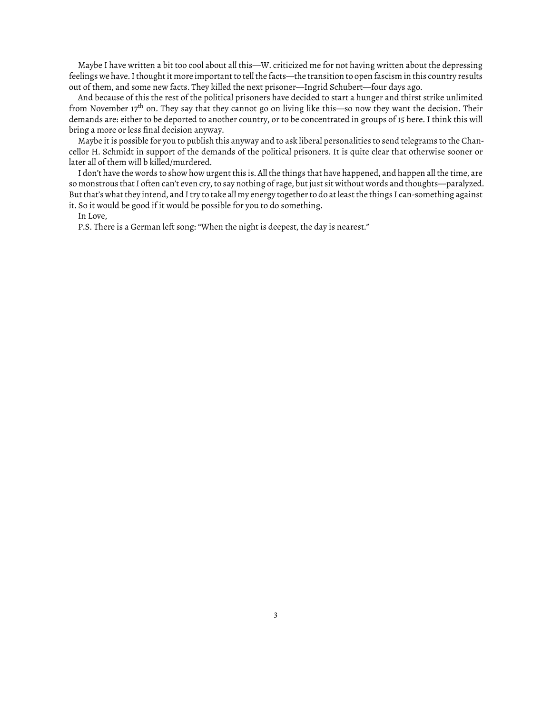Maybe I have written a bit too cool about all this—W. criticized me for not having written about the depressing feelings we have. I thought it more important to tell the facts—the transition to open fascism in this country results out of them, and some new facts. They killed the next prisoner—Ingrid Schubert—four days ago.

And because of this the rest of the political prisoners have decided to start a hunger and thirst strike unlimited from November 17<sup>th</sup> on. They say that they cannot go on living like this—so now they want the decision. Their demands are: either to be deported to another country, or to be concentrated in groups of 15 here. I think this will bring a more or less final decision anyway.

Maybe it is possible for you to publish this anyway and to ask liberal personalities to send telegrams to the Chancellor H. Schmidt in support of the demands of the political prisoners. It is quite clear that otherwise sooner or later all of them will b killed/murdered.

I don't have the words to show how urgent this is. All the things that have happened, and happen all the time, are so monstrous that I often can't even cry, to say nothing of rage, but just sit without words and thoughts—paralyzed. But that's what they intend, and I try to take all my energy together to do at least the things I can-something against it. So it would be good if it would be possible for you to do something.

In Love,

P.S. There is a German left song: "When the night is deepest, the day is nearest."